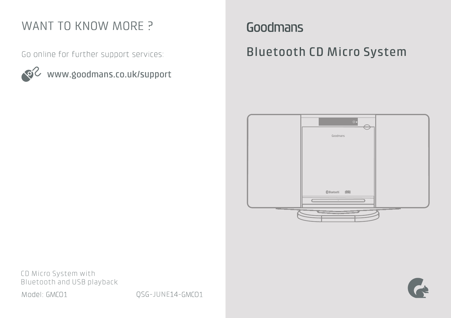# WANT TO KNOW MORE ?

Go online for further support services:



www.goodmans.co.uk/support

Goodmans

Bluetooth CD Micro System



CD Micro System with Bluetooth and USB playback Model: GMCO1

QSG-JUNE14-GMC01